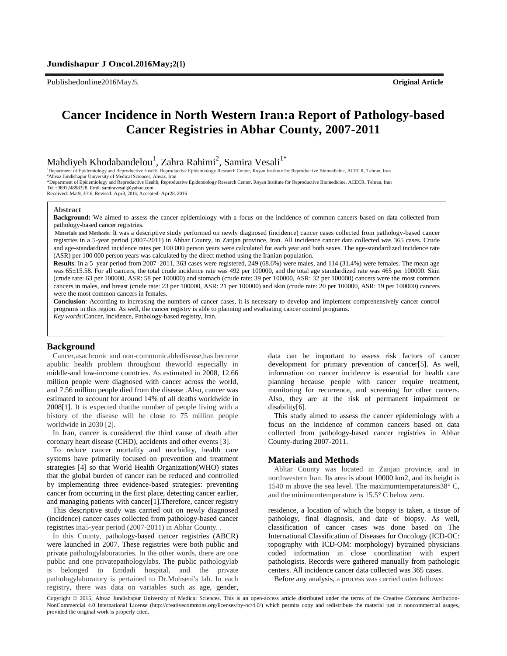Publishedonline2016May26. **Original Article**

# **Cancer Incidence in North Western Iran:a Report of Pathology-based Cancer Registries in Abhar County, 2007-2011**

Mahdiyeh Khodabandelou<sup>1</sup>, Zahra Rahimi<sup>2</sup>, Samira Vesali<sup>1\*</sup>

<sup>1</sup>Department of Epidemiology and Reproductive Health, Reproductive Epidemiology Research Center, Royan Institute for Reproductive Biomedicine, ACECR, Tehran, Iran <sup>2</sup>Ahvaz Jundishapur University of Medical Sciences, Ahvaz, Iran

\*Department of Epidemiology and Reproductive Health, Reproductive Epidemiology Research Center, Royan Institute for Reproductive Biomedicine, ACECR, Tehran, Iran Tel.+989124898328. Emil: samiravesali@yahoo.com

Received: Mar9, 2016; Revised: Apr3, 2016; Accepted: Apr28, 2016

#### **Abstract**

**Background:** We aimed to assess the cancer epidemiology with a focus on the incidence of common cancers based on data collected from pathology-based cancer registries.

**Materials and Methods**: It was a descriptive study performed on newly diagnosed (incidence) cancer cases collected from pathology-based cancer registries in a 5-year period (2007-2011) in Abhar County, in Zanjan province, Iran. All incidence cancer data collected was 365 cases. Crude and age-standardized incidence rates per 100 000 person years were calculated for each year and both sexes. The age-standardized incidence rate (ASR) per 100 000 person years was calculated by the direct method using the Iranian population.

**Results**: In a 5–year period from 2007–2011, 363 cases were registered, 249 (68.6%) were males, and 114 (31.4%) were females. The mean age was 65±15.58. For all cancers, the total crude incidence rate was 492 per 100000, and the total age standardized rate was 465 per 100000. Skin (crude rate: 63 per 100000, ASR: 58 per 100000) and stomach (crude rate: 39 per 100000, ASR: 32 per 100000) cancers were the most common cancers in males, and breast (crude rate: 23 per 100000, ASR: 21 per 100000) and skin (crude rate: 20 per 100000, ASR: 19 per 100000) cancers were the most common cancers in females.

**Conclusion**: According to increasing the numbers of cancer cases, it is necessary to develop and implement comprehensively cancer control programs in this region. As well, the cancer registry is able to planning and evaluating cancer control programs. *Key words:*Cancer, Incidence, Pathology-based registry, Iran.

#### **Background**

Cancer,asachronic and non-communicabledisease,has become apublic health problem throughout theworld especially in middle-and low-income countries. As estimated in 2008, 12.66 million people were diagnosed with cancer across the world, and 7.56 million people died from the disease .Also, cancer was estimated to account for around 14% of all deaths worldwide in 2008[1]. It is expected thatthe number of people living with a history of the disease will be close to 75 million people worldwide in 2030 [2].

In Iran, cancer is considered the third cause of death after coronary heart disease (CHD), accidents and other events [3].

To reduce cancer mortality and morbidity, health care systems have primarily focused on prevention and treatment strategies [4] so that World Health Organization(WHO) states that the global burden of cancer can be reduced and controlled by implementing three evidence-based strategies: preventing cancer from occurring in the first place, detecting cancer earlier, and managing patients with cancer[1].Therefore, cancer registry

This descriptive study was carried out on newly diagnosed (incidence) cancer cases collected from pathology-based cancer registries ina5-year period (2007-2011) in Abhar County. .

In this County, pathology-based cancer registries (ABCR) were launched in 2007. These registries were both public and private pathologylaboratories. In the other words, there are one public and one privatepathologylabs. The public pathologylab belonged to Emdadi hospital, and the private pathologylaboratory is pertained to Dr.Mohseni's lab. In each registry, there was data on variables such as age, gender, data can be important to assess risk factors of cancer development for primary prevention of cancer[5]. As well, information on cancer incidence is essential for health care planning because people with cancer require treatment, monitoring for recurrence, and screening for other cancers. Also, they are at the risk of permanent impairment or disability[6].

This study aimed to assess the cancer epidemiology with a focus on the incidence of common cancers based on data collected from pathology-based cancer registries in Abhar County-during 2007-2011.

#### **Materials and Methods**

Abhar County was located in Zanjan province, and in northwestern Iran. Its area is about 10000 km2, and its height is 1540 m above the sea level. The maximumtemperatureis38° C, and the minimumtemperature is 15.5° C below zero.

residence, a location of which the biopsy is taken, a tissue of pathology, final diagnosis, and date of biopsy. As well, classification of cancer cases was done based on The International Classification of Diseases for Oncology (ICD-OC: topography with ICD-OM: morphology) bytrained physicians coded information in close coordination with expert pathologists. Records were gathered manually from pathologic centers. All incidence cancer data collected was 365 cases.

Before any analysis, a process was carried outas follows:

Copyright © 2015, Ahvaz Jundishapur University of Medical Sciences. This is an open-access article distributed under the terms of the Creative Commons Attribution-NonCommercial 4.0 International License (http://creativecommons.org/licenses/by-nc/4.0/) which permits copy and redistribute the material just in noncommercial usages, provided the original work is properly cited.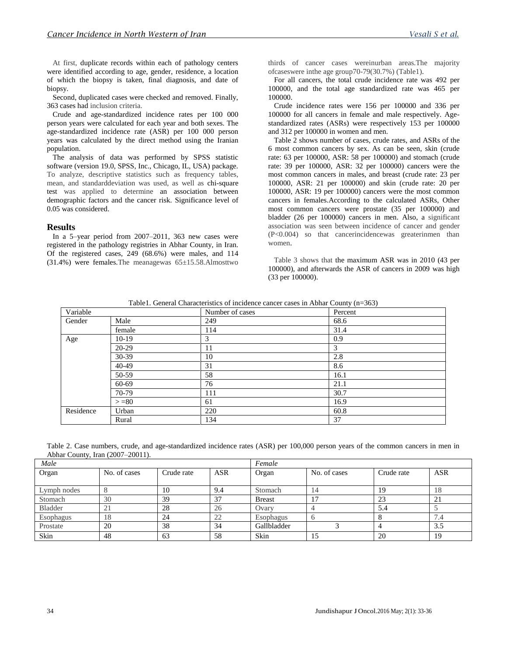At first, duplicate records within each of pathology centers were identified according to age, gender, residence, a location of which the biopsy is taken, final diagnosis, and date of biopsy.

Second, duplicated cases were checked and removed. Finally, 363 cases had inclusion criteria.

Crude and age-standardized incidence rates per 100 000 person years were calculated for each year and both sexes. The age-standardized incidence rate (ASR) per 100 000 person years was calculated by the direct method using the Iranian population.

The analysis of data was performed by SPSS statistic software (version 19.0, SPSS, Inc., Chicago, IL, USA) package. To analyze, descriptive statistics such as frequency tables, mean, and standarddeviation was used, as well as chi-square test was applied to determine an association between demographic factors and the cancer risk. Significance level of 0.05 was considered.

#### **Results**

In a 5–year period from 2007–2011, 363 new cases were registered in the pathology registries in Abhar County, in Iran. Of the registered cases, 249 (68.6%) were males, and 114  $(31.4%)$  were females. The meanagewas  $65±15.58$ . Almosttwo thirds of cancer cases wereinurban areas.The majority ofcaseswere inthe age group70-79(30.7%) (Table1).

For all cancers, the total crude incidence rate was 492 per 100000, and the total age standardized rate was 465 per 100000.

Crude incidence rates were 156 per 100000 and 336 per 100000 for all cancers in female and male respectively. Agestandardized rates (ASRs) were respectively 153 per 100000 and 312 per 100000 in women and men.

Table 2 shows number of cases, crude rates, and ASRs of the 6 most common cancers by sex. As can be seen, skin (crude rate: 63 per 100000, ASR: 58 per 100000) and stomach (crude rate: 39 per 100000, ASR: 32 per 100000) cancers were the most common cancers in males, and breast (crude rate: 23 per 100000, ASR: 21 per 100000) and skin (crude rate: 20 per 100000, ASR: 19 per 100000) cancers were the most common cancers in females.According to the calculated ASRs, Other most common cancers were prostate (35 per 100000) and bladder (26 per 100000) cancers in men. Also, a significant association was seen between incidence of cancer and gender (P<0.004) so that cancerincidencewas greaterinmen than women.

Table 3 shows that the maximum ASR was in 2010 (43 per 100000), and afterwards the ASR of cancers in 2009 was high (33 per 100000).

| Variable  |          | Number of cases | Percent |
|-----------|----------|-----------------|---------|
| Gender    | Male     | 249             | 68.6    |
|           | female   | 114             | 31.4    |
| Age       | $10-19$  | 3               | 0.9     |
|           | 20-29    | 11              | 3       |
|           | 30-39    | 10              | 2.8     |
|           | 40-49    | 31              | 8.6     |
|           | 50-59    | 58              | 16.1    |
|           | 60-69    | 76              | 21.1    |
|           | 70-79    | 111             | 30.7    |
|           | $> = 80$ | 61              | 16.9    |
| Residence | Urban    | 220             | 60.8    |
|           | Rural    | 134             | 37      |
|           |          |                 |         |

Table1. General Characteristics of incidence cancer cases in Abhar County (n=363)

Table 2. Case numbers, crude, and age-standardized incidence rates (ASR) per 100,000 person years of the common cancers in men in Abhar County, Iran (2007–20011).

| Male           |              |            | Female     |               |              |            |            |
|----------------|--------------|------------|------------|---------------|--------------|------------|------------|
| Organ          | No. of cases | Crude rate | <b>ASR</b> | Organ         | No. of cases | Crude rate | <b>ASR</b> |
|                |              |            |            |               |              |            |            |
| Lymph nodes    |              | 10         | 9.4        | Stomach       | 14           | 19         | 18         |
| Stomach        | 30           | 39         | 37         | <b>Breast</b> | −            | 23         | -41        |
| <b>Bladder</b> | 21           | 28         | 26         | Ovary         |              | 5.4        |            |
| Esophagus      | 18           | 24         | 22         | Esophagus     |              |            | −<br>7.4   |
| Prostate       | 20           | 38         | 34         | Gallbladder   |              |            | 3.5        |
| Skin           | 48           | 63         | 58         | Skin          | 15           | 20         | 19         |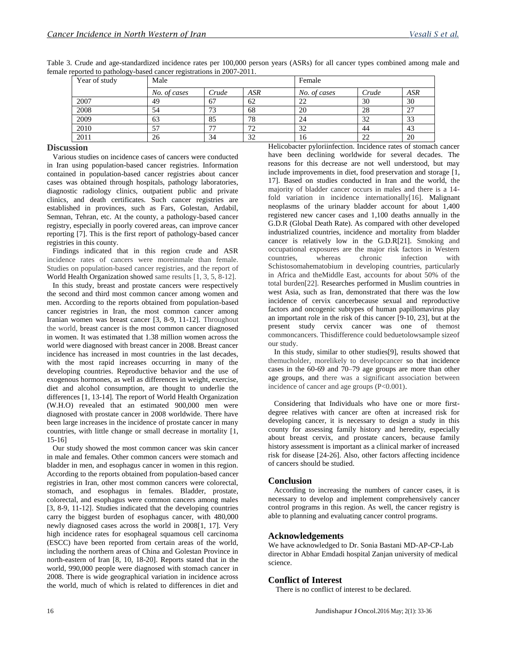| $\epsilon$ , and the pair order $\epsilon$ and $\epsilon$ is represented in 2007. 2011. |              |       |     |              |        |            |  |  |
|-----------------------------------------------------------------------------------------|--------------|-------|-----|--------------|--------|------------|--|--|
| Year of study                                                                           | Male         |       |     |              | Female |            |  |  |
|                                                                                         | No. of cases | Crude | ASR | No. of cases | Crude  | <b>ASR</b> |  |  |
| 2007                                                                                    | 49           | 67    | 62  | 22           | 30     | 30         |  |  |
| 2008                                                                                    | 54           | 73    | 68  | 20           | 28     | 27         |  |  |
| 2009                                                                                    | 63           | 85    | 78  | 24           | 32     | 33         |  |  |
| 2010                                                                                    |              | 77    | 72  | 32           | 44     | 43         |  |  |
| 2011                                                                                    | 26           | 34    | 32  | 16           | 22     | 20         |  |  |

Table 3. Crude and age-standardized incidence rates per 100,000 person years (ASRs) for all cancer types combined among male and female reported to pathology-based cancer registrations in 2007-2011.

## **Discussion**

Various studies on incidence cases of cancers were conducted in Iran using population-based cancer registries. Information contained in population-based cancer registries about cancer cases was obtained through hospitals, pathology laboratories, diagnostic radiology clinics, outpatient public and private clinics, and death certificates. Such cancer registries are established in provinces, such as Fars, Golestan, Ardabil, Semnan, Tehran, etc. At the county, a pathology-based cancer registry, especially in poorly covered areas, can improve cancer reporting [7]. This is the first report of pathology-based cancer registries in this county.

Findings indicated that in this region crude and ASR incidence rates of cancers were moreinmale than female. Studies on population-based cancer registries, and the report of World Health Organization showed same results [1, 3, 5, 8-12].

In this study, breast and prostate cancers were respectively the second and third most common cancer among women and men. According to the reports obtained from population-based cancer registries in Iran, the most common cancer among Iranian women was breast cancer [3, 8-9, 11-12]. Throughout the world, breast cancer is the most common cancer diagnosed in women. It was estimated that 1.38 million women across the world were diagnosed with breast cancer in 2008. Breast cancer incidence has increased in most countries in the last decades, with the most rapid increases occurring in many of the developing countries. Reproductive behavior and the use of exogenous hormones, as well as differences in weight, exercise, diet and alcohol consumption, are thought to underlie the differences [1, 13-14]. The report of World Health Organization (W.H.O) revealed that an estimated 900,000 men were diagnosed with prostate cancer in 2008 worldwide. There have been large increases in the incidence of prostate cancer in many countries, with little change or small decrease in mortality [1, 15-16]

Our study showed the most common cancer was skin cancer in male and females. Other common cancers were stomach and bladder in men, and esophagus cancer in women in this region. According to the reports obtained from population-based cancer registries in Iran, other most common cancers were colorectal, stomach, and esophagus in females. Bladder, prostate, colorectal, and esophagus were common cancers among males [3, 8-9, 11-12]. Studies indicated that the developing countries carry the biggest burden of esophagus cancer, with 480,000 newly diagnosed cases across the world in 2008[1, 17]. Very high incidence rates for esophageal squamous cell carcinoma (ESCC) have been reported from certain areas of the world, including the northern areas of China and Golestan Province in north-eastern of Iran [8, 10, 18-20]. Reports stated that in the world, 990,000 people were diagnosed with stomach cancer in 2008. There is wide geographical variation in incidence across the world, much of which is related to differences in diet and

Helicobacter pyloriinfection. Incidence rates of stomach cancer have been declining worldwide for several decades. The reasons for this decrease are not well understood, but may include improvements in diet, food preservation and storage [1, 17]. Based on studies conducted in Iran and the world, the majority of bladder cancer occurs in males and there is a 14 fold variation in incidence internationally[16]. Malignant neoplasms of the urinary bladder account for about 1,400 registered new cancer cases and 1,100 deaths annually in the G.D.R (Global Death Rate). As compared with other developed industrialized countries, incidence and mortality from bladder cancer is relatively low in the G.D.R[21]. Smoking and occupational exposures are the major risk factors in Western countries, whereas chronic infection with Schistosomahematobium in developing countries, particularly in Africa and theMiddle East, accounts for about 50% of the total burden[22]. Researches performed in Muslim countries in west Asia, such as Iran, demonstrated that there was the low incidence of cervix cancerbecause sexual and reproductive factors and oncogenic subtypes of human papillomavirus play an important role in the risk of this cancer [9-10, 23], but at the present study cervix cancer was one of themost commoncancers. Thisdifference could beduetolowsample sizeof our study.

In this study, similar to other studies[9], results showed that themucholder, morelikely to developcancer so that incidence cases in the 60-69 and 70–79 age groups are more than other age groups, and there was a significant association between incidence of cancer and age groups (P<0.001).

Considering that Individuals who have one or more firstdegree relatives with cancer are often at increased risk for developing cancer, it is necessary to design a study in this county for assessing family history and heredity, especially about breast cervix, and prostate cancers, because family history assessment is important as a clinical marker of increased risk for disease [24-26]. Also, other factors affecting incidence of cancers should be studied.

## **Conclusion**

According to increasing the numbers of cancer cases, it is necessary to develop and implement comprehensively cancer control programs in this region. As well, the cancer registry is able to planning and evaluating cancer control programs.

## **Acknowledgements**

We have acknowledged to Dr. Sonia Bastani MD-AP-CP-Lab director in Abhar Emdadi hospital Zanjan university of medical science.

# **Conflict of Interest**

There is no conflict of interest to be declared.